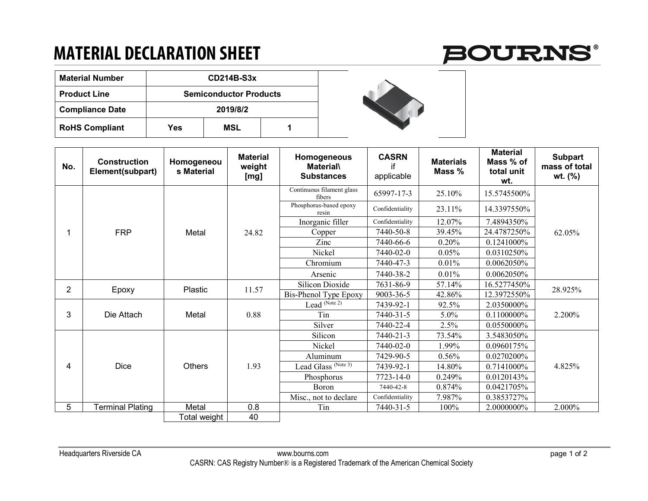## **MATERIAL DECLARATION SHEET**



| <b>Material Number</b> | CD214B-S3x                    |     |  |  |  |  |
|------------------------|-------------------------------|-----|--|--|--|--|
| <b>Product Line</b>    | <b>Semiconductor Products</b> |     |  |  |  |  |
| <b>Compliance Date</b> | 2019/8/2                      |     |  |  |  |  |
| <b>RoHS Compliant</b>  | Yes                           | MSL |  |  |  |  |



| No.            | <b>Construction</b><br>Element(subpart) | Homogeneou<br>s Material | <b>Material</b><br>weight<br>[mg] | Homogeneous<br><b>Material</b><br><b>Substances</b> | <b>CASRN</b><br>if<br>applicable | <b>Materials</b><br>Mass % | <b>Material</b><br>Mass % of<br>total unit<br>wt. | <b>Subpart</b><br>mass of total<br>wt. (%) |
|----------------|-----------------------------------------|--------------------------|-----------------------------------|-----------------------------------------------------|----------------------------------|----------------------------|---------------------------------------------------|--------------------------------------------|
|                | <b>FRP</b>                              | Metal                    | 24.82                             | Continuous filament glass<br>fibers                 | 65997-17-3                       | 25.10%                     | 15.5745500%                                       | 62.05%                                     |
|                |                                         |                          |                                   | Phosphorus-based epoxy<br>resin                     | Confidentiality                  | 23.11%                     | 14.3397550%                                       |                                            |
|                |                                         |                          |                                   | Inorganic filler                                    | Confidentiality                  | 12.07%                     | 7.4894350%                                        |                                            |
|                |                                         |                          |                                   | Copper                                              | 7440-50-8                        | 39.45%                     | 24.4787250%                                       |                                            |
|                |                                         |                          |                                   | Zinc                                                | 7440-66-6                        | 0.20%                      | 0.1241000%                                        |                                            |
|                |                                         |                          |                                   | Nickel                                              | 7440-02-0                        | 0.05%                      | 0.0310250%                                        |                                            |
|                |                                         |                          |                                   | Chromium                                            | 7440-47-3                        | 0.01%                      | 0.0062050%                                        |                                            |
|                |                                         |                          |                                   | Arsenic                                             | 7440-38-2                        | 0.01%                      | 0.0062050%                                        |                                            |
| $\overline{2}$ | Epoxy                                   | Plastic                  | 11.57                             | Silicon Dioxide                                     | 7631-86-9                        | 57.14%                     | 16.5277450%                                       | 28.925%                                    |
|                |                                         |                          |                                   | Bis-Phenol Type Epoxy                               | 9003-36-5                        | 42.86%                     | 12.3972550%                                       |                                            |
| 3              | Die Attach                              | Metal                    | 0.88                              | Lead (Note 2)                                       | 7439-92-1                        | 92.5%                      | 2.0350000%                                        | 2.200%                                     |
|                |                                         |                          |                                   | Tin                                                 | 7440-31-5                        | 5.0%                       | 0.1100000%                                        |                                            |
|                |                                         |                          |                                   | Silver                                              | 7440-22-4                        | 2.5%                       | 0.0550000%                                        |                                            |
| 4              | Dice                                    | <b>Others</b>            | 1.93                              | Silicon                                             | 7440-21-3                        | 73.54%                     | 3.5483050%                                        | 4.825%                                     |
|                |                                         |                          |                                   | Nickel                                              | 7440-02-0                        | 1.99%                      | 0.0960175%                                        |                                            |
|                |                                         |                          |                                   | Aluminum                                            | 7429-90-5                        | 0.56%                      | 0.0270200%                                        |                                            |
|                |                                         |                          |                                   | Lead Glass <sup>(Note 3)</sup>                      | 7439-92-1                        | 14.80%                     | 0.7141000%                                        |                                            |
|                |                                         |                          |                                   | Phosphorus                                          | 7723-14-0                        | 0.249%                     | 0.0120143%                                        |                                            |
|                |                                         |                          |                                   | Boron                                               | 7440-42-8                        | 0.874%                     | 0.0421705%                                        |                                            |
|                |                                         |                          |                                   | Misc., not to declare                               | Confidentiality                  | 7.987%                     | 0.3853727%                                        |                                            |
| 5              | <b>Terminal Plating</b>                 | Metal                    | 0.8                               | Tin                                                 | 7440-31-5                        | 100%                       | 2.0000000%                                        | 2.000%                                     |
|                |                                         | Total weight             | 40                                |                                                     |                                  |                            |                                                   |                                            |